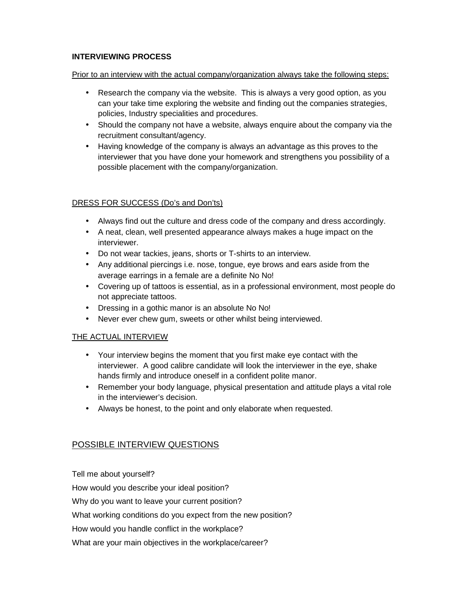## **INTERVIEWING PROCESS**

Prior to an interview with the actual company/organization always take the following steps:

- Research the company via the website. This is always a very good option, as you can your take time exploring the website and finding out the companies strategies, policies, Industry specialities and procedures.
- Should the company not have a website, always enquire about the company via the recruitment consultant/agency.
- Having knowledge of the company is always an advantage as this proves to the interviewer that you have done your homework and strengthens you possibility of a possible placement with the company/organization.

## DRESS FOR SUCCESS (Do's and Don'ts)

- Always find out the culture and dress code of the company and dress accordingly.
- A neat, clean, well presented appearance always makes a huge impact on the interviewer.
- Do not wear tackies, jeans, shorts or T-shirts to an interview.
- Any additional piercings i.e. nose, tongue, eye brows and ears aside from the average earrings in a female are a definite No No!
- Covering up of tattoos is essential, as in a professional environment, most people do not appreciate tattoos.
- Dressing in a gothic manor is an absolute No No!
- Never ever chew gum, sweets or other whilst being interviewed.

## THE ACTUAL INTERVIEW

- Your interview begins the moment that you first make eye contact with the interviewer. A good calibre candidate will look the interviewer in the eye, shake hands firmly and introduce oneself in a confident polite manor.
- Remember your body language, physical presentation and attitude plays a vital role in the interviewer's decision.
- Always be honest, to the point and only elaborate when requested.

## POSSIBLE INTERVIEW QUESTIONS

Tell me about yourself?

How would you describe your ideal position?

Why do you want to leave your current position?

What working conditions do you expect from the new position?

How would you handle conflict in the workplace?

What are your main objectives in the workplace/career?